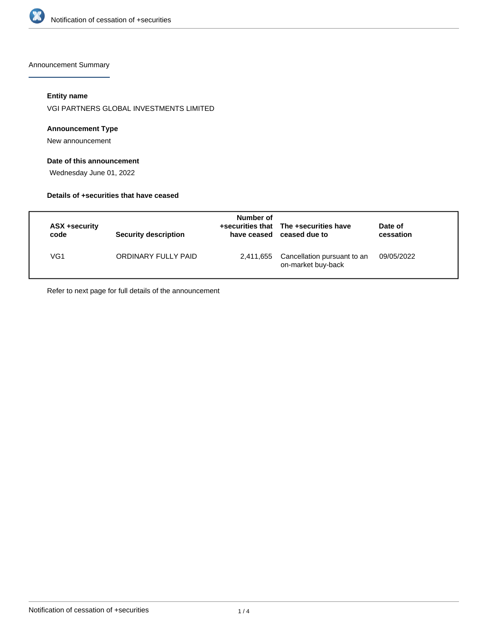

Announcement Summary

# **Entity name**

VGI PARTNERS GLOBAL INVESTMENTS LIMITED

## **Announcement Type**

New announcement

# **Date of this announcement**

Wednesday June 01, 2022

# **Details of +securities that have ceased**

| ASX +security<br>code | Security description | Number of | +securities that The +securities have<br>have ceased ceased due to | Date of<br>cessation |
|-----------------------|----------------------|-----------|--------------------------------------------------------------------|----------------------|
| VG1                   | ORDINARY FULLY PAID  |           | 2,411,655 Cancellation pursuant to an<br>on-market buy-back        | 09/05/2022           |

Refer to next page for full details of the announcement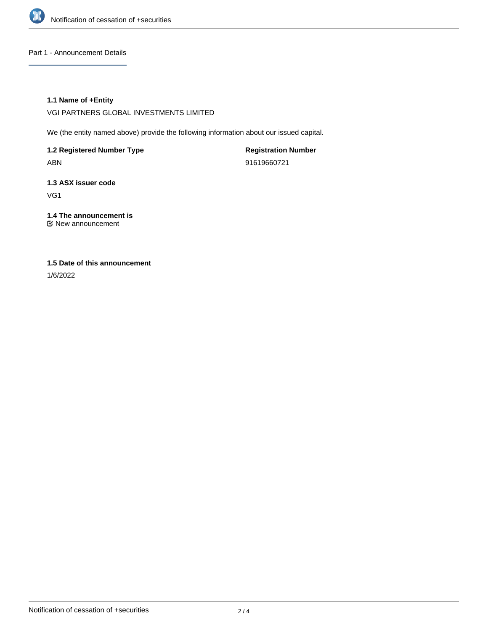

## Part 1 - Announcement Details

## **1.1 Name of +Entity**

VGI PARTNERS GLOBAL INVESTMENTS LIMITED

We (the entity named above) provide the following information about our issued capital.

**1.2 Registered Number Type** ABN

**Registration Number** 91619660721

**1.3 ASX issuer code** VG1

**1.4 The announcement is** New announcement

# **1.5 Date of this announcement**

1/6/2022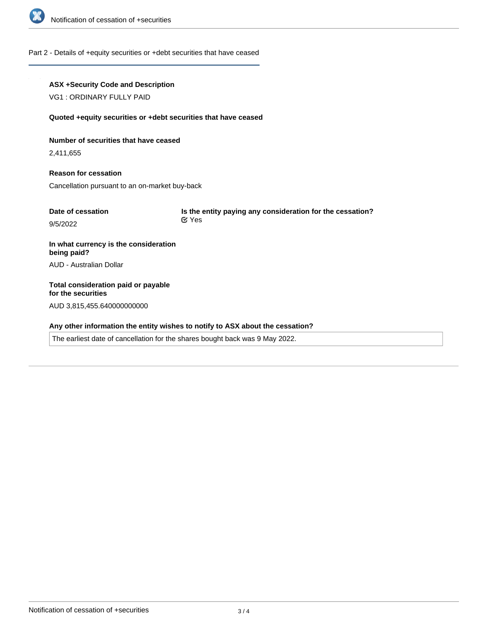

#### Part 2 - Details of +equity securities or +debt securities that have ceased

# **ASX +Security Code and Description**

VG1 : ORDINARY FULLY PAID

#### **Quoted +equity securities or +debt securities that have ceased**

**Number of securities that have ceased**

2,411,655

**Reason for cessation** Cancellation pursuant to an on-market buy-back

| Date of cessation | Is the entity paying any consideration for the cessation?<br>$\alpha$ Yes |  |
|-------------------|---------------------------------------------------------------------------|--|
| 9/5/2022          |                                                                           |  |
|                   |                                                                           |  |

**In what currency is the consideration being paid?** AUD - Australian Dollar

**Total consideration paid or payable for the securities** AUD 3,815,455.640000000000

# **Any other information the entity wishes to notify to ASX about the cessation?**

The earliest date of cancellation for the shares bought back was 9 May 2022.